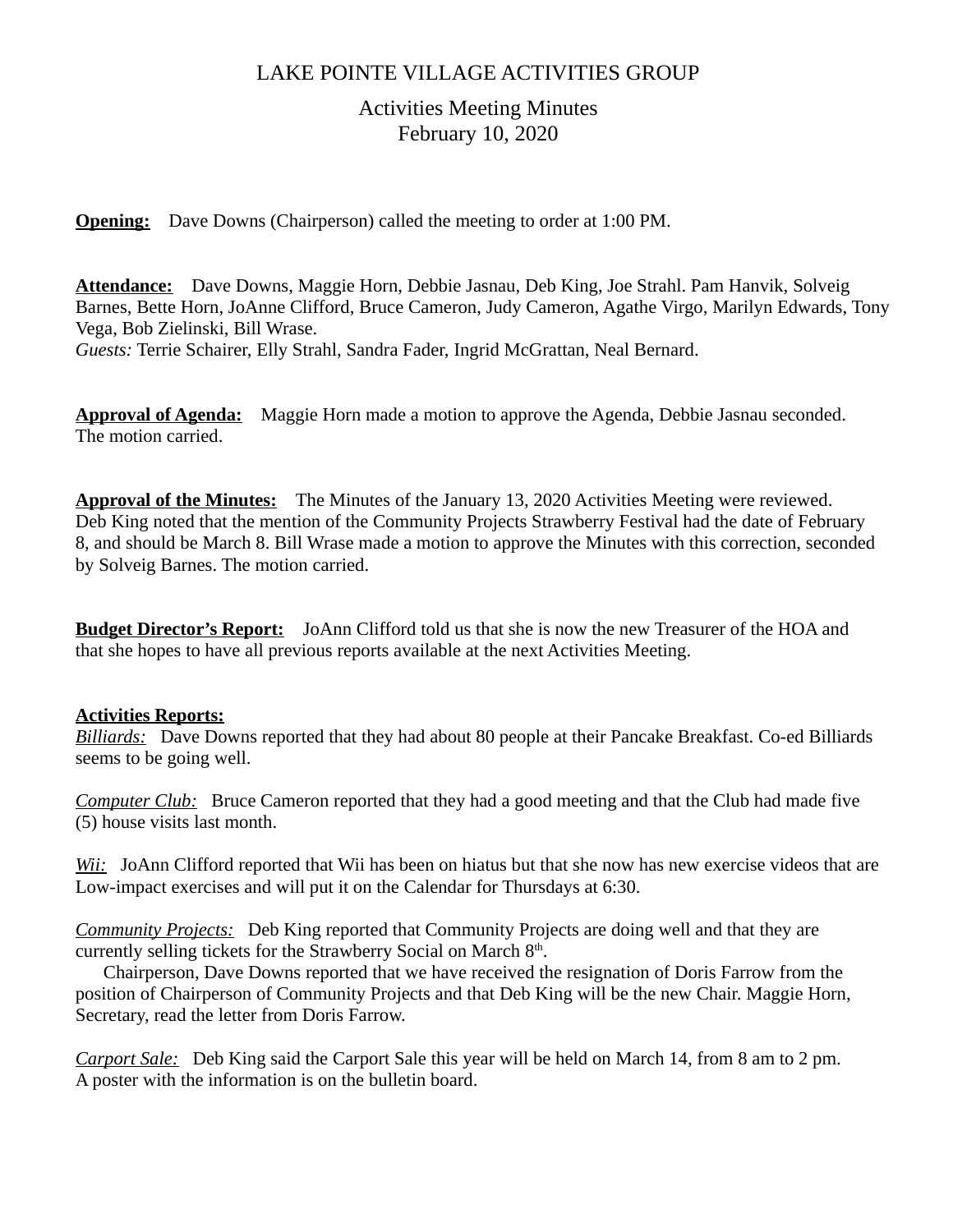## LAKE POINTE VILLAGE ACTIVITIES GROUP

# Activities Meeting Minutes February 10, 2020

**Opening:** Dave Downs (Chairperson) called the meeting to order at 1:00 PM.

**Attendance:** Dave Downs, Maggie Horn, Debbie Jasnau, Deb King, Joe Strahl. Pam Hanvik, Solveig Barnes, Bette Horn, JoAnne Clifford, Bruce Cameron, Judy Cameron, Agathe Virgo, Marilyn Edwards, Tony Vega, Bob Zielinski, Bill Wrase. *Guests:* Terrie Schairer, Elly Strahl, Sandra Fader, Ingrid McGrattan, Neal Bernard.

**Approval of Agenda:** Maggie Horn made a motion to approve the Agenda, Debbie Jasnau seconded. The motion carried.

**Approval of the Minutes:** The Minutes of the January 13, 2020 Activities Meeting were reviewed. Deb King noted that the mention of the Community Projects Strawberry Festival had the date of February 8, and should be March 8. Bill Wrase made a motion to approve the Minutes with this correction, seconded by Solveig Barnes. The motion carried.

**Budget Director's Report:** JoAnn Clifford told us that she is now the new Treasurer of the HOA and that she hopes to have all previous reports available at the next Activities Meeting.

## **Activities Reports:**

*Billiards:* Dave Downs reported that they had about 80 people at their Pancake Breakfast. Co-ed Billiards seems to be going well.

*Computer Club:* Bruce Cameron reported that they had a good meeting and that the Club had made five (5) house visits last month.

*Wii:* JoAnn Clifford reported that Wii has been on hiatus but that she now has new exercise videos that are Low-impact exercises and will put it on the Calendar for Thursdays at 6:30.

*Community Projects:* Deb King reported that Community Projects are doing well and that they are currently selling tickets for the Strawberry Social on March  $8<sup>th</sup>$ .

 Chairperson, Dave Downs reported that we have received the resignation of Doris Farrow from the position of Chairperson of Community Projects and that Deb King will be the new Chair. Maggie Horn, Secretary, read the letter from Doris Farrow.

*Carport Sale:* Deb King said the Carport Sale this year will be held on March 14, from 8 am to 2 pm. A poster with the information is on the bulletin board.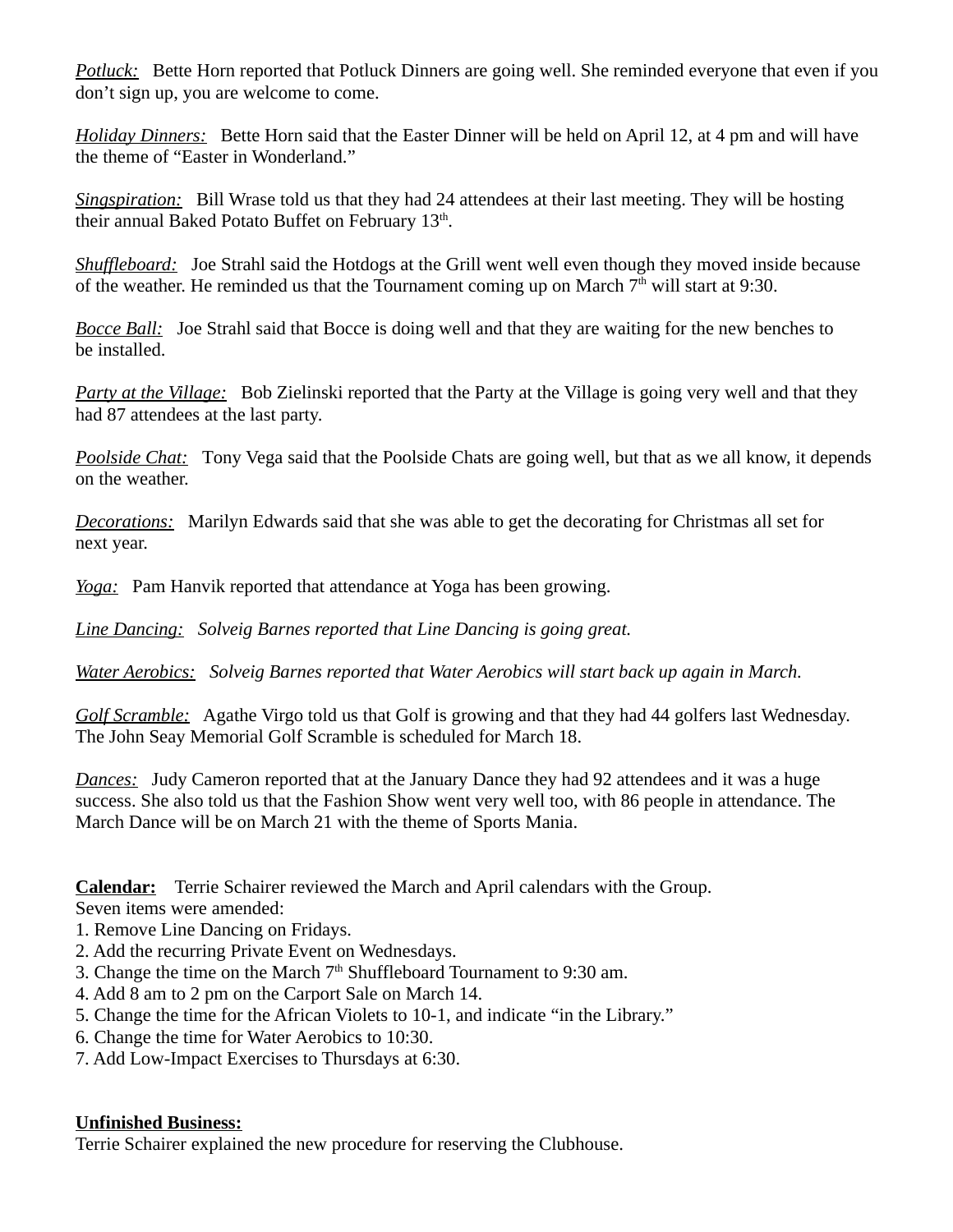*Potluck:* Bette Horn reported that Potluck Dinners are going well. She reminded everyone that even if you don't sign up, you are welcome to come.

*Holiday Dinners:* Bette Horn said that the Easter Dinner will be held on April 12, at 4 pm and will have the theme of "Easter in Wonderland."

*Singspiration:* Bill Wrase told us that they had 24 attendees at their last meeting. They will be hosting their annual Baked Potato Buffet on February 13<sup>th</sup>.

*Shuffleboard:* Joe Strahl said the Hotdogs at the Grill went well even though they moved inside because of the weather. He reminded us that the Tournament coming up on March  $7<sup>th</sup>$  will start at 9:30.

*Bocce Ball:* Joe Strahl said that Bocce is doing well and that they are waiting for the new benches to be installed.

*Party at the Village:* Bob Zielinski reported that the Party at the Village is going very well and that they had 87 attendees at the last party.

*Poolside Chat:* Tony Vega said that the Poolside Chats are going well, but that as we all know, it depends on the weather.

*Decorations:* Marilyn Edwards said that she was able to get the decorating for Christmas all set for next year.

*Yoga:* Pam Hanvik reported that attendance at Yoga has been growing.

*Line Dancing: Solveig Barnes reported that Line Dancing is going great.*

*Water Aerobics: Solveig Barnes reported that Water Aerobics will start back up again in March.*

*Golf Scramble:* Agathe Virgo told us that Golf is growing and that they had 44 golfers last Wednesday. The John Seay Memorial Golf Scramble is scheduled for March 18.

*Dances:* Judy Cameron reported that at the January Dance they had 92 attendees and it was a huge success. She also told us that the Fashion Show went very well too, with 86 people in attendance. The March Dance will be on March 21 with the theme of Sports Mania.

**Calendar:**Terrie Schairer reviewed the March and April calendars with the Group.

Seven items were amended:

- 1. Remove Line Dancing on Fridays.
- 2. Add the recurring Private Event on Wednesdays.
- 3. Change the time on the March  $7<sup>th</sup>$  Shuffleboard Tournament to 9:30 am.
- 4. Add 8 am to 2 pm on the Carport Sale on March 14.
- 5. Change the time for the African Violets to 10-1, and indicate "in the Library."
- 6. Change the time for Water Aerobics to 10:30.
- 7. Add Low-Impact Exercises to Thursdays at 6:30.

#### **Unfinished Business:**

Terrie Schairer explained the new procedure for reserving the Clubhouse.